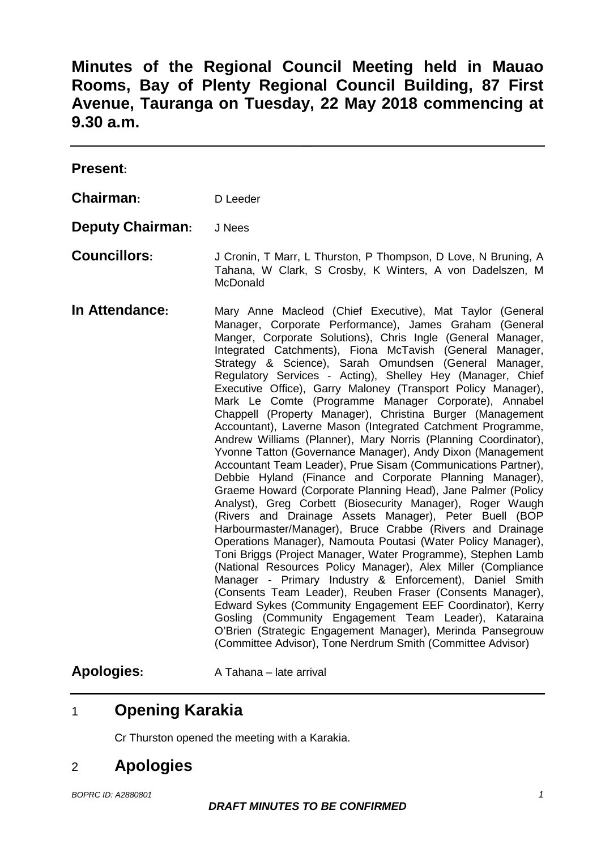**Minutes of the Regional Council Meeting held in Mauao Rooms, Bay of Plenty Regional Council Building, 87 First Avenue, Tauranga on Tuesday, 22 May 2018 commencing at 9.30 a.m.**

| <b>Present:</b>         |                                                                                                                                                                                                                                                                                                                                                                                                                                                                                                                                                                                                                                                                                                                                                                                                                                                                                                                                                                                                                                                                                                                                                                                                                                                                                                                                                                                                                                                                                                                                                                                                                                                                                                                            |
|-------------------------|----------------------------------------------------------------------------------------------------------------------------------------------------------------------------------------------------------------------------------------------------------------------------------------------------------------------------------------------------------------------------------------------------------------------------------------------------------------------------------------------------------------------------------------------------------------------------------------------------------------------------------------------------------------------------------------------------------------------------------------------------------------------------------------------------------------------------------------------------------------------------------------------------------------------------------------------------------------------------------------------------------------------------------------------------------------------------------------------------------------------------------------------------------------------------------------------------------------------------------------------------------------------------------------------------------------------------------------------------------------------------------------------------------------------------------------------------------------------------------------------------------------------------------------------------------------------------------------------------------------------------------------------------------------------------------------------------------------------------|
| Chairman:               | D Leeder                                                                                                                                                                                                                                                                                                                                                                                                                                                                                                                                                                                                                                                                                                                                                                                                                                                                                                                                                                                                                                                                                                                                                                                                                                                                                                                                                                                                                                                                                                                                                                                                                                                                                                                   |
| <b>Deputy Chairman:</b> | J Nees                                                                                                                                                                                                                                                                                                                                                                                                                                                                                                                                                                                                                                                                                                                                                                                                                                                                                                                                                                                                                                                                                                                                                                                                                                                                                                                                                                                                                                                                                                                                                                                                                                                                                                                     |
| <b>Councillors:</b>     | J Cronin, T Marr, L Thurston, P Thompson, D Love, N Bruning, A<br>Tahana, W Clark, S Crosby, K Winters, A von Dadelszen, M<br>McDonald                                                                                                                                                                                                                                                                                                                                                                                                                                                                                                                                                                                                                                                                                                                                                                                                                                                                                                                                                                                                                                                                                                                                                                                                                                                                                                                                                                                                                                                                                                                                                                                     |
| In Attendance:          | Mary Anne Macleod (Chief Executive), Mat Taylor (General<br>Manager, Corporate Performance), James Graham (General<br>Manger, Corporate Solutions), Chris Ingle (General Manager,<br>Integrated Catchments), Fiona McTavish (General<br>Manager,<br>Strategy & Science), Sarah Omundsen (General<br>Manager,<br>Regulatory Services - Acting), Shelley Hey (Manager, Chief<br>Executive Office), Garry Maloney (Transport Policy Manager),<br>Mark Le Comte (Programme Manager Corporate), Annabel<br>Chappell (Property Manager), Christina Burger (Management<br>Accountant), Laverne Mason (Integrated Catchment Programme,<br>Andrew Williams (Planner), Mary Norris (Planning Coordinator),<br>Yvonne Tatton (Governance Manager), Andy Dixon (Management<br>Accountant Team Leader), Prue Sisam (Communications Partner),<br>Debbie Hyland (Finance and Corporate Planning Manager),<br>Graeme Howard (Corporate Planning Head), Jane Palmer (Policy<br>Analyst), Greg Corbett (Biosecurity Manager), Roger Waugh<br>(Rivers and Drainage Assets Manager), Peter Buell (BOP<br>Harbourmaster/Manager), Bruce Crabbe (Rivers and Drainage<br>Operations Manager), Namouta Poutasi (Water Policy Manager),<br>Toni Briggs (Project Manager, Water Programme), Stephen Lamb<br>(National Resources Policy Manager), Alex Miller (Compliance<br>Manager - Primary Industry & Enforcement), Daniel Smith<br>(Consents Team Leader), Reuben Fraser (Consents Manager),<br>Edward Sykes (Community Engagement EEF Coordinator), Kerry<br>Gosling (Community Engagement Team Leader), Kataraina<br>O'Brien (Strategic Engagement Manager), Merinda Pansegrouw<br>(Committee Advisor), Tone Nerdrum Smith (Committee Advisor) |

## Apologies: A Tahana – late arrival

# 1 **Opening Karakia**

Cr Thurston opened the meeting with a Karakia.

## 2 **Apologies**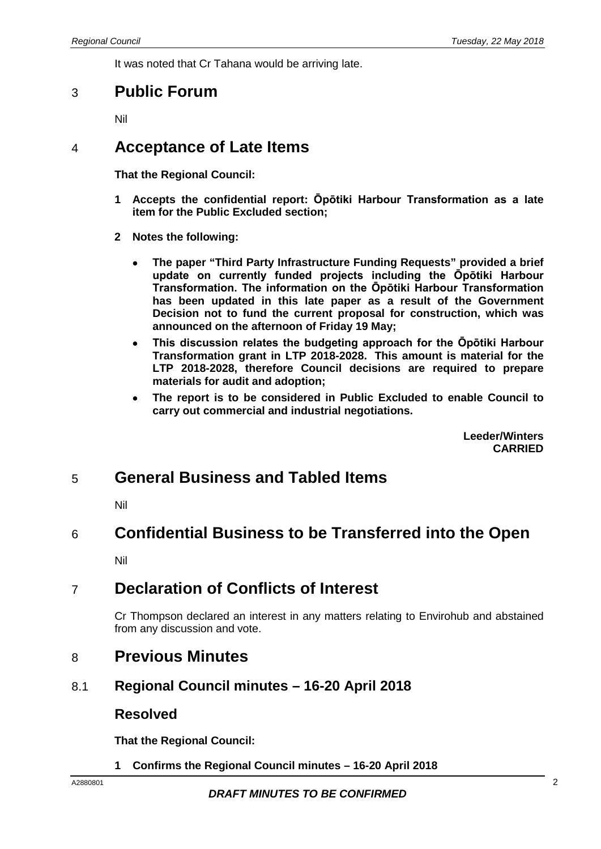It was noted that Cr Tahana would be arriving late.

### 3 **Public Forum**

Nil

## 4 **Acceptance of Late Items**

**That the Regional Council:**

- **1 Accepts the confidential report: Ōpōtiki Harbour Transformation as a late item for the Public Excluded section;**
- **2 Notes the following:**
	- **The paper "Third Party Infrastructure Funding Requests" provided a brief update on currently funded projects including the Ōpōtiki Harbour Transformation. The information on the Ōpōtiki Harbour Transformation has been updated in this late paper as a result of the Government Decision not to fund the current proposal for construction, which was announced on the afternoon of Friday 19 May;**
	- **This discussion relates the budgeting approach for the Ōpōtiki Harbour Transformation grant in LTP 2018-2028. This amount is material for the LTP 2018-2028, therefore Council decisions are required to prepare materials for audit and adoption;**
	- **The report is to be considered in Public Excluded to enable Council to carry out commercial and industrial negotiations.**

**Leeder/Winters CARRIED**

## 5 **General Business and Tabled Items**

Nil

### 6 **Confidential Business to be Transferred into the Open**

Nil

## 7 **Declaration of Conflicts of Interest**

Cr Thompson declared an interest in any matters relating to Envirohub and abstained from any discussion and vote.

### 8 **Previous Minutes**

#### 8.1 **Regional Council minutes – 16-20 April 2018**

#### **Resolved**

**That the Regional Council:**

**1 Confirms the Regional Council minutes – 16-20 April 2018**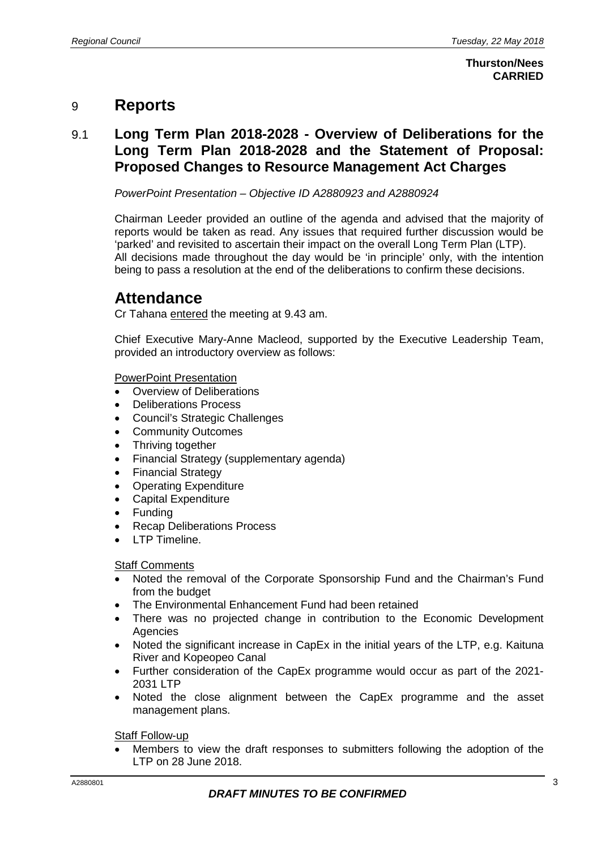## 9 **Reports**

### 9.1 **Long Term Plan 2018-2028 - Overview of Deliberations for the Long Term Plan 2018-2028 and the Statement of Proposal: Proposed Changes to Resource Management Act Charges**

*PowerPoint Presentation – Objective ID A2880923 and A2880924*

Chairman Leeder provided an outline of the agenda and advised that the majority of reports would be taken as read. Any issues that required further discussion would be 'parked' and revisited to ascertain their impact on the overall Long Term Plan (LTP). All decisions made throughout the day would be 'in principle' only, with the intention being to pass a resolution at the end of the deliberations to confirm these decisions.

## **Attendance**

Cr Tahana entered the meeting at 9.43 am.

Chief Executive Mary-Anne Macleod, supported by the Executive Leadership Team, provided an introductory overview as follows:

#### PowerPoint Presentation

- Overview of Deliberations
- Deliberations Process
- Council's Strategic Challenges
- Community Outcomes
- Thriving together
- Financial Strategy (supplementary agenda)
- Financial Strategy
- Operating Expenditure
- Capital Expenditure
- Funding
- Recap Deliberations Process
- LTP Timeline.

#### **Staff Comments**

- Noted the removal of the Corporate Sponsorship Fund and the Chairman's Fund from the budget
- The Environmental Enhancement Fund had been retained
- There was no projected change in contribution to the Economic Development Agencies
- Noted the significant increase in CapEx in the initial years of the LTP, e.g. Kaituna River and Kopeopeo Canal
- Further consideration of the CapEx programme would occur as part of the 2021- 2031 LTP
- Noted the close alignment between the CapEx programme and the asset management plans.

**Staff Follow-up** 

• Members to view the draft responses to submitters following the adoption of the LTP on 28 June 2018.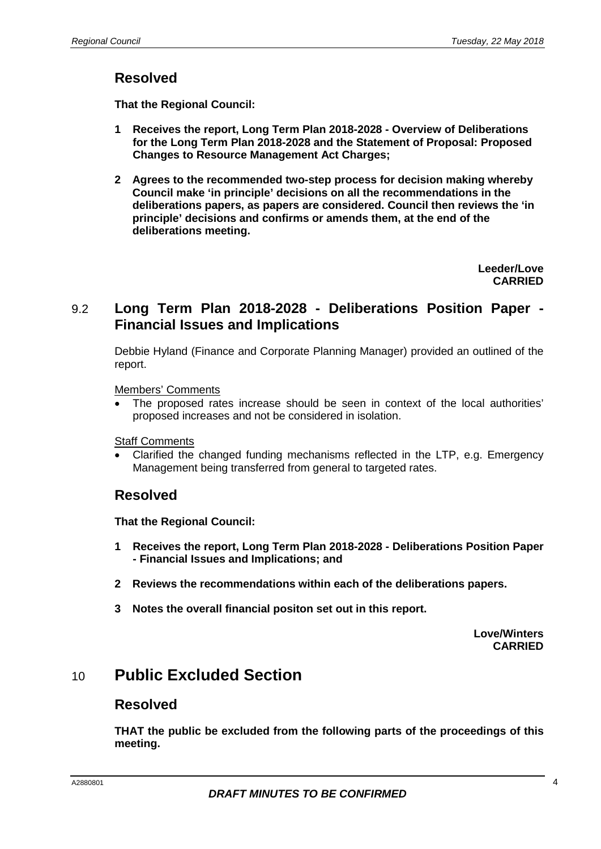### **Resolved**

**That the Regional Council:**

- **1 Receives the report, Long Term Plan 2018-2028 - Overview of Deliberations for the Long Term Plan 2018-2028 and the Statement of Proposal: Proposed Changes to Resource Management Act Charges;**
- **2 Agrees to the recommended two-step process for decision making whereby Council make 'in principle' decisions on all the recommendations in the deliberations papers, as papers are considered. Council then reviews the 'in principle' decisions and confirms or amends them, at the end of the deliberations meeting.**

**Leeder/Love CARRIED**

#### 9.2 **Long Term Plan 2018-2028 - Deliberations Position Paper - Financial Issues and Implications**

Debbie Hyland (Finance and Corporate Planning Manager) provided an outlined of the report.

Members' Comments

The proposed rates increase should be seen in context of the local authorities' proposed increases and not be considered in isolation.

Staff Comments

• Clarified the changed funding mechanisms reflected in the LTP, e.g. Emergency Management being transferred from general to targeted rates.

#### **Resolved**

**That the Regional Council:**

- **1 Receives the report, Long Term Plan 2018-2028 - Deliberations Position Paper - Financial Issues and Implications; and**
- **2 Reviews the recommendations within each of the deliberations papers.**
- **3 Notes the overall financial positon set out in this report.**

**Love/Winters CARRIED**

## 10 **Public Excluded Section**

#### **Resolved**

**THAT the public be excluded from the following parts of the proceedings of this meeting.**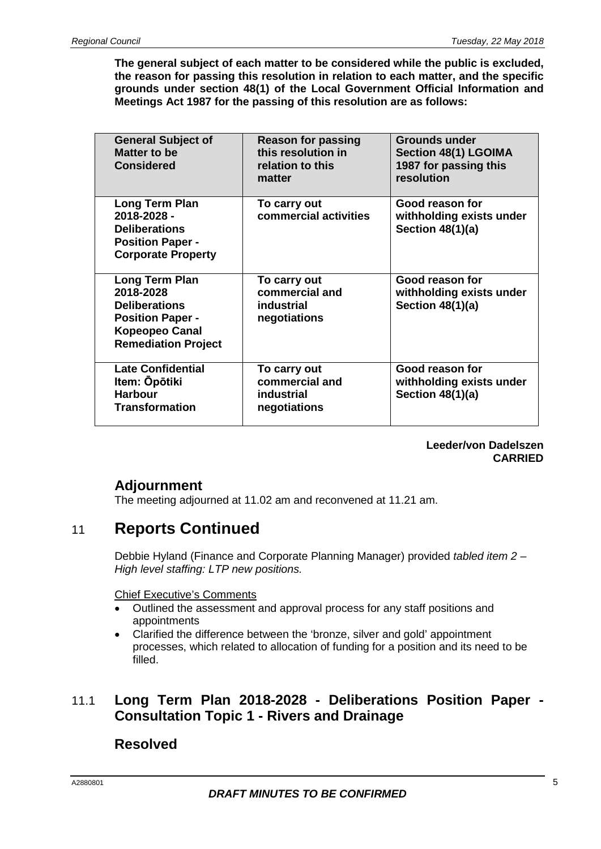**The general subject of each matter to be considered while the public is excluded, the reason for passing this resolution in relation to each matter, and the specific grounds under section 48(1) of the Local Government Official Information and Meetings Act 1987 for the passing of this resolution are as follows:**

| <b>General Subject of</b><br>Matter to be<br><b>Considered</b>                                                                               | <b>Reason for passing</b><br>this resolution in<br>relation to this<br>matter | <b>Grounds under</b><br><b>Section 48(1) LGOIMA</b><br>1987 for passing this<br>resolution |
|----------------------------------------------------------------------------------------------------------------------------------------------|-------------------------------------------------------------------------------|--------------------------------------------------------------------------------------------|
| Long Term Plan<br>2018-2028 -<br><b>Deliberations</b><br><b>Position Paper -</b><br><b>Corporate Property</b>                                | To carry out<br>commercial activities                                         | Good reason for<br>withholding exists under<br>Section $48(1)(a)$                          |
| <b>Long Term Plan</b><br>2018-2028<br><b>Deliberations</b><br><b>Position Paper -</b><br><b>Kopeopeo Canal</b><br><b>Remediation Project</b> | To carry out<br>commercial and<br>industrial<br>negotiations                  | Good reason for<br>withholding exists under<br>Section $48(1)(a)$                          |
| <b>Late Confidential</b><br>Item: Opōtiki<br><b>Harbour</b><br><b>Transformation</b>                                                         | To carry out<br>commercial and<br>industrial<br>negotiations                  | Good reason for<br>withholding exists under<br>Section $48(1)(a)$                          |

**Leeder/von Dadelszen CARRIED**

## **Adjournment**

The meeting adjourned at 11.02 am and reconvened at 11.21 am.

## 11 **Reports Continued**

Debbie Hyland (Finance and Corporate Planning Manager) provided *tabled item 2 – High level staffing: LTP new positions.*

Chief Executive's Comments

- Outlined the assessment and approval process for any staff positions and appointments
- Clarified the difference between the 'bronze, silver and gold' appointment processes, which related to allocation of funding for a position and its need to be filled.

### 11.1 **Long Term Plan 2018-2028 - Deliberations Position Paper - Consultation Topic 1 - Rivers and Drainage**

### **Resolved**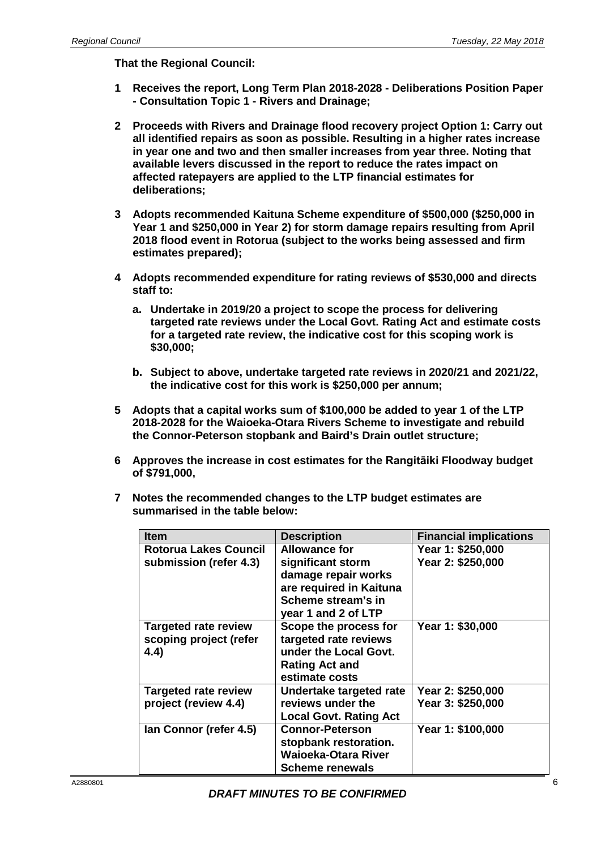- **1 Receives the report, Long Term Plan 2018-2028 - Deliberations Position Paper - Consultation Topic 1 - Rivers and Drainage;**
- **2 Proceeds with Rivers and Drainage flood recovery project Option 1: Carry out all identified repairs as soon as possible. Resulting in a higher rates increase in year one and two and then smaller increases from year three. Noting that available levers discussed in the report to reduce the rates impact on affected ratepayers are applied to the LTP financial estimates for deliberations;**
- **3 Adopts recommended Kaituna Scheme expenditure of \$500,000 (\$250,000 in Year 1 and \$250,000 in Year 2) for storm damage repairs resulting from April 2018 flood event in Rotorua (subject to the works being assessed and firm estimates prepared);**
- **4 Adopts recommended expenditure for rating reviews of \$530,000 and directs staff to:**
	- **a. Undertake in 2019/20 a project to scope the process for delivering targeted rate reviews under the Local Govt. Rating Act and estimate costs for a targeted rate review, the indicative cost for this scoping work is \$30,000;**
	- **b. Subject to above, undertake targeted rate reviews in 2020/21 and 2021/22, the indicative cost for this work is \$250,000 per annum;**
- **5 Adopts that a capital works sum of \$100,000 be added to year 1 of the LTP 2018-2028 for the Waioeka-Otara Rivers Scheme to investigate and rebuild the Connor-Peterson stopbank and Baird's Drain outlet structure;**
- **6 Approves the increase in cost estimates for the Rangitāiki Floodway budget of \$791,000,**
- **7 Notes the recommended changes to the LTP budget estimates are summarised in the table below:**

| <b>Item</b>                 | <b>Description</b>            | <b>Financial implications</b> |
|-----------------------------|-------------------------------|-------------------------------|
| Rotorua Lakes Council       | <b>Allowance for</b>          | Year 1: \$250,000             |
| submission (refer 4.3)      | significant storm             | Year 2: \$250,000             |
|                             | damage repair works           |                               |
|                             | are required in Kaituna       |                               |
|                             | Scheme stream's in            |                               |
|                             | year 1 and 2 of LTP           |                               |
| <b>Targeted rate review</b> | Scope the process for         | Year 1: \$30,000              |
| scoping project (refer      | targeted rate reviews         |                               |
| 4.4)                        | under the Local Govt.         |                               |
|                             | <b>Rating Act and</b>         |                               |
|                             | estimate costs                |                               |
| <b>Targeted rate review</b> | Undertake targeted rate       | Year 2: \$250,000             |
| project (review 4.4)        | reviews under the             | Year 3: \$250,000             |
|                             | <b>Local Govt. Rating Act</b> |                               |
| Ian Connor (refer 4.5)      | <b>Connor-Peterson</b>        | Year 1: \$100,000             |
|                             | stopbank restoration.         |                               |
|                             | Waioeka-Otara River           |                               |
|                             | <b>Scheme renewals</b>        |                               |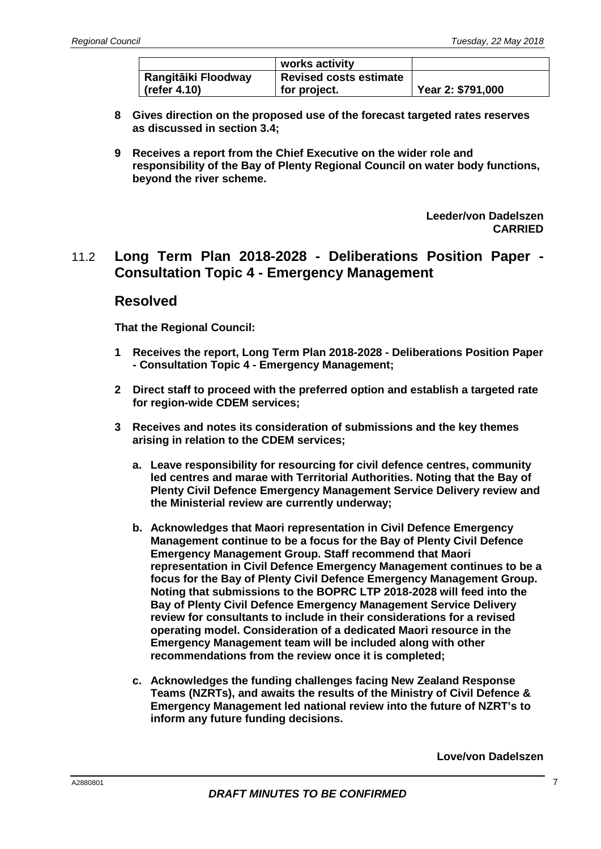|                            | works activity                |                   |
|----------------------------|-------------------------------|-------------------|
| <b>Rangitāiki Floodway</b> | <b>Revised costs estimate</b> |                   |
| $\vert$ (refer 4.10)       | for project.                  | Year 2: \$791,000 |

- **8 Gives direction on the proposed use of the forecast targeted rates reserves as discussed in section 3.4;**
- **9 Receives a report from the Chief Executive on the wider role and responsibility of the Bay of Plenty Regional Council on water body functions, beyond the river scheme.**

**Leeder/von Dadelszen CARRIED**

### 11.2 **Long Term Plan 2018-2028 - Deliberations Position Paper - Consultation Topic 4 - Emergency Management**

#### **Resolved**

**That the Regional Council:**

- **1 Receives the report, Long Term Plan 2018-2028 - Deliberations Position Paper - Consultation Topic 4 - Emergency Management;**
- **2 Direct staff to proceed with the preferred option and establish a targeted rate for region-wide CDEM services;**
- **3 Receives and notes its consideration of submissions and the key themes arising in relation to the CDEM services;**
	- **a. Leave responsibility for resourcing for civil defence centres, community led centres and marae with Territorial Authorities. Noting that the Bay of Plenty Civil Defence Emergency Management Service Delivery review and the Ministerial review are currently underway;**
	- **b. Acknowledges that Maori representation in Civil Defence Emergency Management continue to be a focus for the Bay of Plenty Civil Defence Emergency Management Group. Staff recommend that Maori representation in Civil Defence Emergency Management continues to be a focus for the Bay of Plenty Civil Defence Emergency Management Group. Noting that submissions to the BOPRC LTP 2018-2028 will feed into the Bay of Plenty Civil Defence Emergency Management Service Delivery review for consultants to include in their considerations for a revised operating model. Consideration of a dedicated Maori resource in the Emergency Management team will be included along with other recommendations from the review once it is completed;**
	- **c. Acknowledges the funding challenges facing New Zealand Response Teams (NZRTs), and awaits the results of the Ministry of Civil Defence & Emergency Management led national review into the future of NZRT's to inform any future funding decisions.**

**Love/von Dadelszen**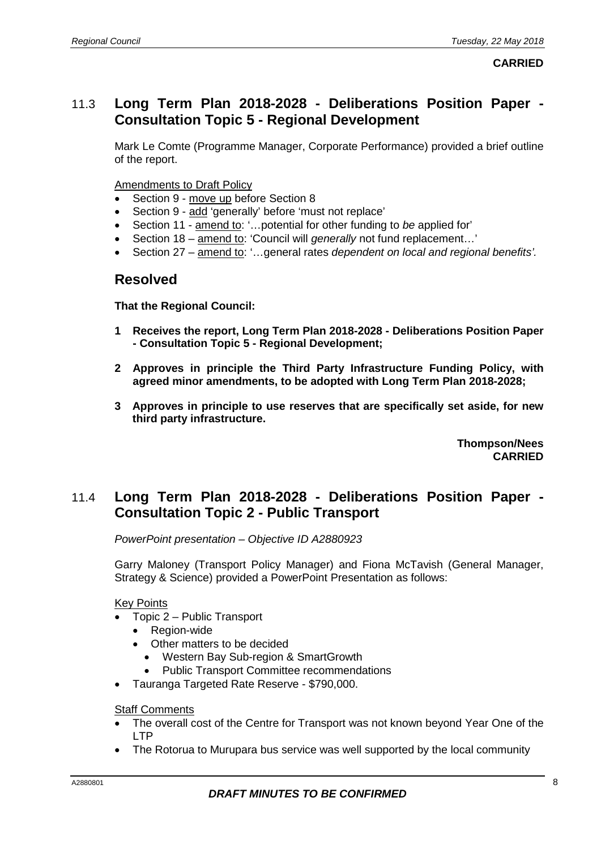### 11.3 **Long Term Plan 2018-2028 - Deliberations Position Paper - Consultation Topic 5 - Regional Development**

Mark Le Comte (Programme Manager, Corporate Performance) provided a brief outline of the report.

Amendments to Draft Policy

- Section 9 move up before Section 8
- Section 9 add 'generally' before 'must not replace'
- Section 11 amend to: '…potential for other funding to *be* applied for'
- Section 18 amend to: 'Council will *generally* not fund replacement…'
- Section 27 amend to: '…general rates *dependent on local and regional benefits'.*

#### **Resolved**

**That the Regional Council:**

- **1 Receives the report, Long Term Plan 2018-2028 - Deliberations Position Paper - Consultation Topic 5 - Regional Development;**
- **2 Approves in principle the Third Party Infrastructure Funding Policy, with agreed minor amendments, to be adopted with Long Term Plan 2018-2028;**
- **3 Approves in principle to use reserves that are specifically set aside, for new third party infrastructure.**

**Thompson/Nees CARRIED**

### 11.4 **Long Term Plan 2018-2028 - Deliberations Position Paper - Consultation Topic 2 - Public Transport**

*PowerPoint presentation – Objective ID A2880923*

Garry Maloney (Transport Policy Manager) and Fiona McTavish (General Manager, Strategy & Science) provided a PowerPoint Presentation as follows:

Key Points

- Topic 2 Public Transport
	- Region-wide
	- Other matters to be decided
		- Western Bay Sub-region & SmartGrowth
		- Public Transport Committee recommendations
- Tauranga Targeted Rate Reserve \$790,000.

#### Staff Comments

- The overall cost of the Centre for Transport was not known beyond Year One of the LTP
- The Rotorua to Murupara bus service was well supported by the local community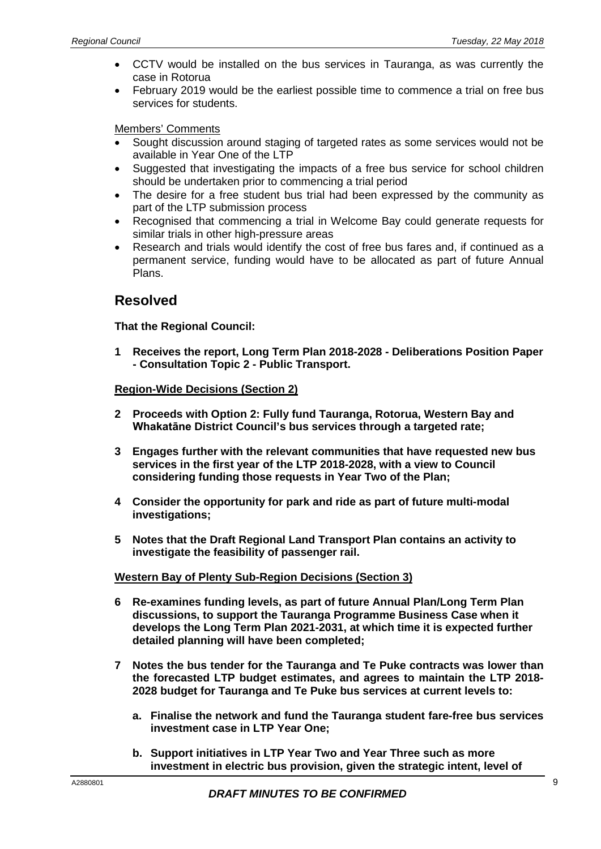- CCTV would be installed on the bus services in Tauranga, as was currently the case in Rotorua
- February 2019 would be the earliest possible time to commence a trial on free bus services for students.

#### Members' Comments

- Sought discussion around staging of targeted rates as some services would not be available in Year One of the LTP
- Suggested that investigating the impacts of a free bus service for school children should be undertaken prior to commencing a trial period
- The desire for a free student bus trial had been expressed by the community as part of the LTP submission process
- Recognised that commencing a trial in Welcome Bay could generate requests for similar trials in other high-pressure areas
- Research and trials would identify the cost of free bus fares and, if continued as a permanent service, funding would have to be allocated as part of future Annual Plans.

#### **Resolved**

#### **That the Regional Council:**

**1 Receives the report, Long Term Plan 2018-2028 - Deliberations Position Paper - Consultation Topic 2 - Public Transport.**

#### **Region-Wide Decisions (Section 2)**

- **2 Proceeds with Option 2: Fully fund Tauranga, Rotorua, Western Bay and Whakatāne District Council's bus services through a targeted rate;**
- **3 Engages further with the relevant communities that have requested new bus services in the first year of the LTP 2018-2028, with a view to Council considering funding those requests in Year Two of the Plan;**
- **4 Consider the opportunity for park and ride as part of future multi-modal investigations;**
- **5 Notes that the Draft Regional Land Transport Plan contains an activity to investigate the feasibility of passenger rail.**

#### **Western Bay of Plenty Sub-Region Decisions (Section 3)**

- **6 Re-examines funding levels, as part of future Annual Plan/Long Term Plan discussions, to support the Tauranga Programme Business Case when it develops the Long Term Plan 2021-2031, at which time it is expected further detailed planning will have been completed;**
- **7 Notes the bus tender for the Tauranga and Te Puke contracts was lower than the forecasted LTP budget estimates, and agrees to maintain the LTP 2018- 2028 budget for Tauranga and Te Puke bus services at current levels to:**
	- **a. Finalise the network and fund the Tauranga student fare-free bus services investment case in LTP Year One;**
	- **b. Support initiatives in LTP Year Two and Year Three such as more investment in electric bus provision, given the strategic intent, level of**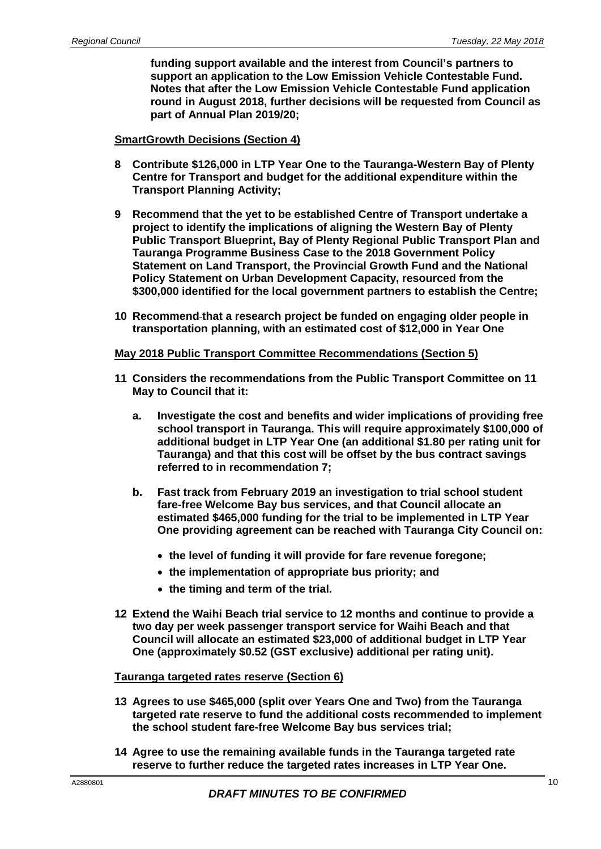**funding support available and the interest from Council's partners to support an application to the Low Emission Vehicle Contestable Fund. Notes that after the Low Emission Vehicle Contestable Fund application round in August 2018, further decisions will be requested from Council as part of Annual Plan 2019/20;**

#### **SmartGrowth Decisions (Section 4)**

- **8 Contribute \$126,000 in LTP Year One to the Tauranga-Western Bay of Plenty Centre for Transport and budget for the additional expenditure within the Transport Planning Activity;**
- **9 Recommend that the yet to be established Centre of Transport undertake a project to identify the implications of aligning the Western Bay of Plenty Public Transport Blueprint, Bay of Plenty Regional Public Transport Plan and Tauranga Programme Business Case to the 2018 Government Policy Statement on Land Transport, the Provincial Growth Fund and the National Policy Statement on Urban Development Capacity, resourced from the \$300,000 identified for the local government partners to establish the Centre;**
- **10 Recommend that a research project be funded on engaging older people in transportation planning, with an estimated cost of \$12,000 in Year One**

#### **May 2018 Public Transport Committee Recommendations (Section 5)**

- **11 Considers the recommendations from the Public Transport Committee on 11 May to Council that it:**
	- **a. Investigate the cost and benefits and wider implications of providing free school transport in Tauranga. This will require approximately \$100,000 of additional budget in LTP Year One (an additional \$1.80 per rating unit for Tauranga) and that this cost will be offset by the bus contract savings referred to in recommendation 7;**
	- **b. Fast track from February 2019 an investigation to trial school student fare-free Welcome Bay bus services, and that Council allocate an estimated \$465,000 funding for the trial to be implemented in LTP Year One providing agreement can be reached with Tauranga City Council on:**
		- **the level of funding it will provide for fare revenue foregone;**
		- **the implementation of appropriate bus priority; and**
		- **the timing and term of the trial.**
- **12 Extend the Waihi Beach trial service to 12 months and continue to provide a two day per week passenger transport service for Waihi Beach and that Council will allocate an estimated \$23,000 of additional budget in LTP Year One (approximately \$0.52 (GST exclusive) additional per rating unit).**

#### **Tauranga targeted rates reserve (Section 6)**

- **13 Agrees to use \$465,000 (split over Years One and Two) from the Tauranga targeted rate reserve to fund the additional costs recommended to implement the school student fare-free Welcome Bay bus services trial;**
- **14 Agree to use the remaining available funds in the Tauranga targeted rate reserve to further reduce the targeted rates increases in LTP Year One.**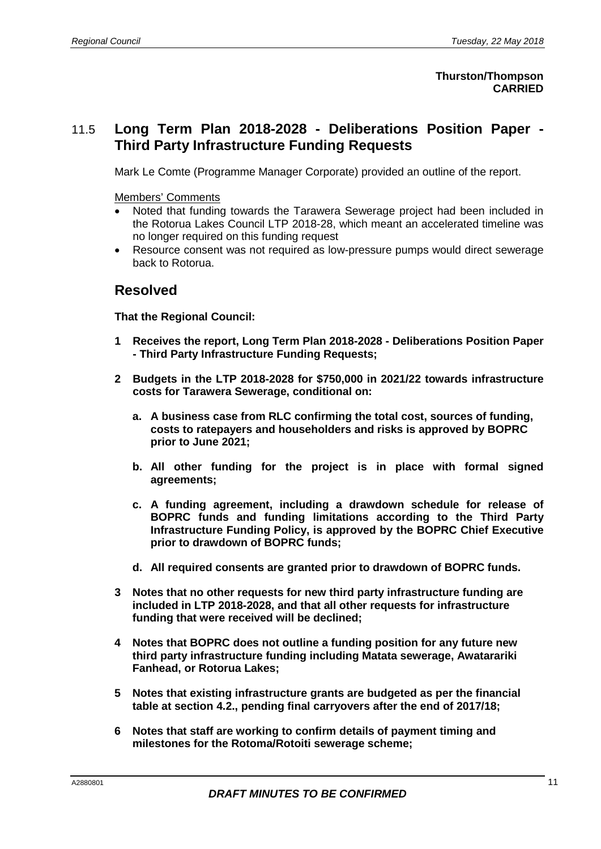#### **Thurston/Thompson CARRIED**

### 11.5 **Long Term Plan 2018-2028 - Deliberations Position Paper - Third Party Infrastructure Funding Requests**

Mark Le Comte (Programme Manager Corporate) provided an outline of the report.

Members' Comments

- Noted that funding towards the Tarawera Sewerage project had been included in the Rotorua Lakes Council LTP 2018-28, which meant an accelerated timeline was no longer required on this funding request
- Resource consent was not required as low-pressure pumps would direct sewerage back to Rotorua.

#### **Resolved**

- **1 Receives the report, Long Term Plan 2018-2028 - Deliberations Position Paper - Third Party Infrastructure Funding Requests;**
- **2 Budgets in the LTP 2018-2028 for \$750,000 in 2021/22 towards infrastructure costs for Tarawera Sewerage, conditional on:**
	- **a. A business case from RLC confirming the total cost, sources of funding, costs to ratepayers and householders and risks is approved by BOPRC prior to June 2021;**
	- **b. All other funding for the project is in place with formal signed agreements;**
	- **c. A funding agreement, including a drawdown schedule for release of BOPRC funds and funding limitations according to the Third Party Infrastructure Funding Policy, is approved by the BOPRC Chief Executive prior to drawdown of BOPRC funds;**
	- **d. All required consents are granted prior to drawdown of BOPRC funds.**
- **3 Notes that no other requests for new third party infrastructure funding are included in LTP 2018-2028, and that all other requests for infrastructure funding that were received will be declined;**
- **4 Notes that BOPRC does not outline a funding position for any future new third party infrastructure funding including Matata sewerage, Awatarariki Fanhead, or Rotorua Lakes;**
- **5 Notes that existing infrastructure grants are budgeted as per the financial table at section 4.2., pending final carryovers after the end of 2017/18;**
- **6 Notes that staff are working to confirm details of payment timing and milestones for the Rotoma/Rotoiti sewerage scheme;**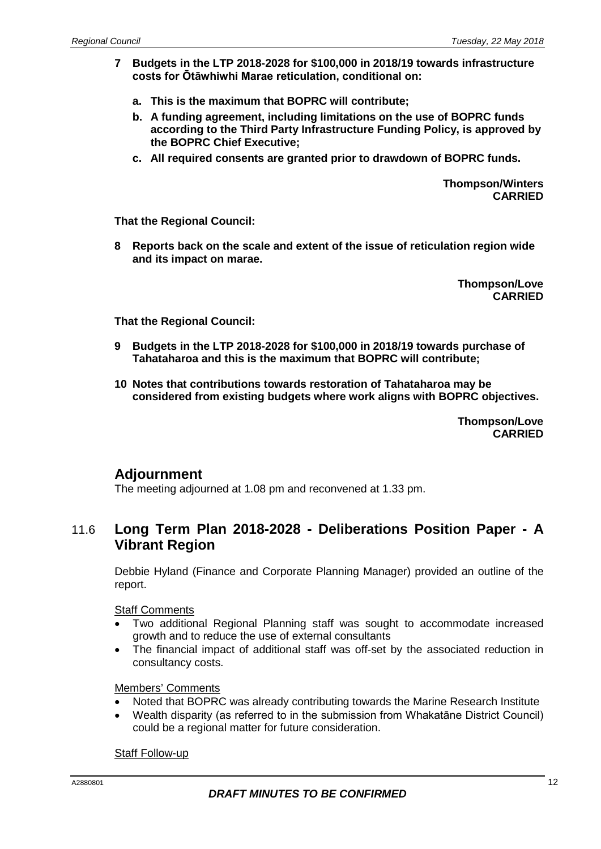- **7 Budgets in the LTP 2018-2028 for \$100,000 in 2018/19 towards infrastructure costs for Ōtāwhiwhi Marae reticulation, conditional on:**
	- **a. This is the maximum that BOPRC will contribute;**
	- **b. A funding agreement, including limitations on the use of BOPRC funds according to the Third Party Infrastructure Funding Policy, is approved by the BOPRC Chief Executive;**
	- **c. All required consents are granted prior to drawdown of BOPRC funds.**

**Thompson/Winters CARRIED**

**That the Regional Council:**

**8 Reports back on the scale and extent of the issue of reticulation region wide and its impact on marae.**

> **Thompson/Love CARRIED**

**That the Regional Council:**

- **9 Budgets in the LTP 2018-2028 for \$100,000 in 2018/19 towards purchase of Tahataharoa and this is the maximum that BOPRC will contribute;**
- **10 Notes that contributions towards restoration of Tahataharoa may be considered from existing budgets where work aligns with BOPRC objectives.**

**Thompson/Love CARRIED**

### **Adjournment**

The meeting adjourned at 1.08 pm and reconvened at 1.33 pm.

### 11.6 **Long Term Plan 2018-2028 - Deliberations Position Paper - A Vibrant Region**

Debbie Hyland (Finance and Corporate Planning Manager) provided an outline of the report.

Staff Comments

- Two additional Regional Planning staff was sought to accommodate increased growth and to reduce the use of external consultants
- The financial impact of additional staff was off-set by the associated reduction in consultancy costs.

#### Members' Comments

- Noted that BOPRC was already contributing towards the Marine Research Institute
- Wealth disparity (as referred to in the submission from Whakatāne District Council) could be a regional matter for future consideration.

#### Staff Follow-up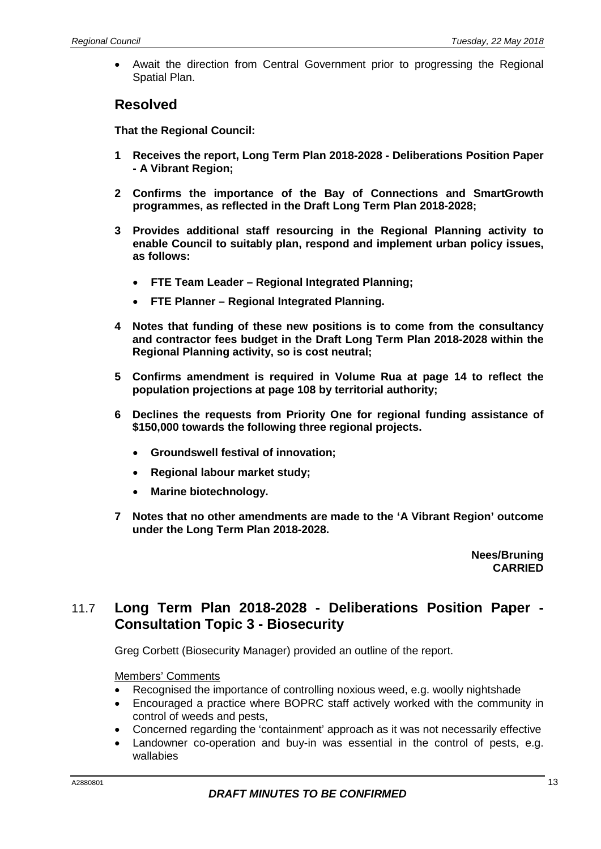• Await the direction from Central Government prior to progressing the Regional Spatial Plan.

#### **Resolved**

**That the Regional Council:**

- **1 Receives the report, Long Term Plan 2018-2028 - Deliberations Position Paper - A Vibrant Region;**
- **2 Confirms the importance of the Bay of Connections and SmartGrowth programmes, as reflected in the Draft Long Term Plan 2018-2028;**
- **3 Provides additional staff resourcing in the Regional Planning activity to enable Council to suitably plan, respond and implement urban policy issues, as follows:**
	- **FTE Team Leader – Regional Integrated Planning;**
	- **FTE Planner – Regional Integrated Planning.**
- **4 Notes that funding of these new positions is to come from the consultancy and contractor fees budget in the Draft Long Term Plan 2018-2028 within the Regional Planning activity, so is cost neutral;**
- **5 Confirms amendment is required in Volume Rua at page 14 to reflect the population projections at page 108 by territorial authority;**
- **6 Declines the requests from Priority One for regional funding assistance of \$150,000 towards the following three regional projects.** 
	- **Groundswell festival of innovation;**
	- **Regional labour market study;**
	- **Marine biotechnology.**
- **7 Notes that no other amendments are made to the 'A Vibrant Region' outcome under the Long Term Plan 2018-2028.**

**Nees/Bruning CARRIED**

### 11.7 **Long Term Plan 2018-2028 - Deliberations Position Paper - Consultation Topic 3 - Biosecurity**

Greg Corbett (Biosecurity Manager) provided an outline of the report.

#### Members' Comments

- Recognised the importance of controlling noxious weed, e.g. woolly nightshade
- Encouraged a practice where BOPRC staff actively worked with the community in control of weeds and pests,
- Concerned regarding the 'containment' approach as it was not necessarily effective
- Landowner co-operation and buy-in was essential in the control of pests, e.g. wallabies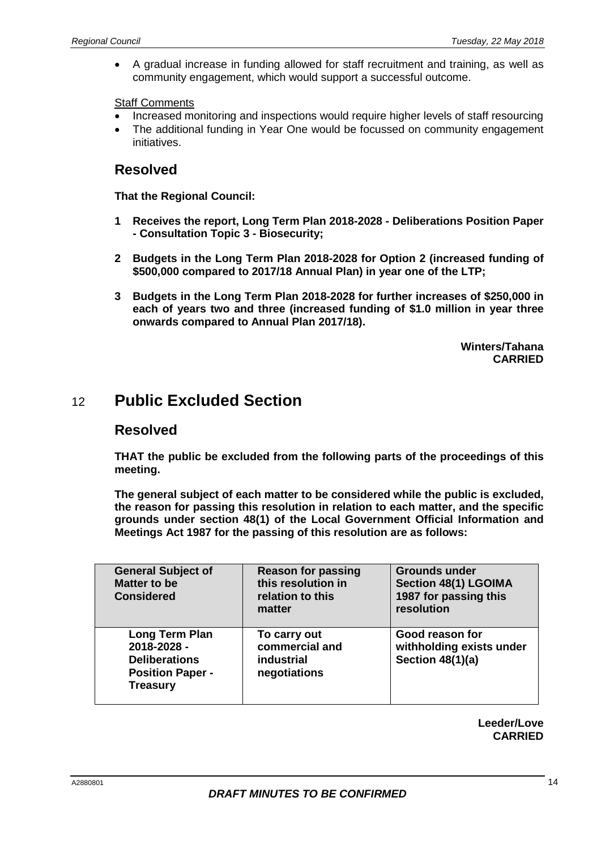• A gradual increase in funding allowed for staff recruitment and training, as well as community engagement, which would support a successful outcome.

**Staff Comments** 

- Increased monitoring and inspections would require higher levels of staff resourcing
- The additional funding in Year One would be focussed on community engagement initiatives.

### **Resolved**

**That the Regional Council:**

- **1 Receives the report, Long Term Plan 2018-2028 - Deliberations Position Paper - Consultation Topic 3 - Biosecurity;**
- **2 Budgets in the Long Term Plan 2018-2028 for Option 2 (increased funding of \$500,000 compared to 2017/18 Annual Plan) in year one of the LTP;**
- **3 Budgets in the Long Term Plan 2018-2028 for further increases of \$250,000 in each of years two and three (increased funding of \$1.0 million in year three onwards compared to Annual Plan 2017/18).**

**Winters/Tahana CARRIED**

## 12 **Public Excluded Section**

#### **Resolved**

**THAT the public be excluded from the following parts of the proceedings of this meeting.**

**The general subject of each matter to be considered while the public is excluded, the reason for passing this resolution in relation to each matter, and the specific grounds under section 48(1) of the Local Government Official Information and Meetings Act 1987 for the passing of this resolution are as follows:**

| <b>General Subject of</b><br><b>Matter to be</b><br><b>Considered</b>                               | <b>Reason for passing</b><br>this resolution in<br>relation to this<br>matter | <b>Grounds under</b><br><b>Section 48(1) LGOIMA</b><br>1987 for passing this<br>resolution |
|-----------------------------------------------------------------------------------------------------|-------------------------------------------------------------------------------|--------------------------------------------------------------------------------------------|
| Long Term Plan<br>2018-2028 -<br><b>Deliberations</b><br><b>Position Paper -</b><br><b>Treasury</b> | To carry out<br>commercial and<br>industrial<br>negotiations                  | Good reason for<br>withholding exists under<br>Section $48(1)(a)$                          |

**Leeder/Love CARRIED**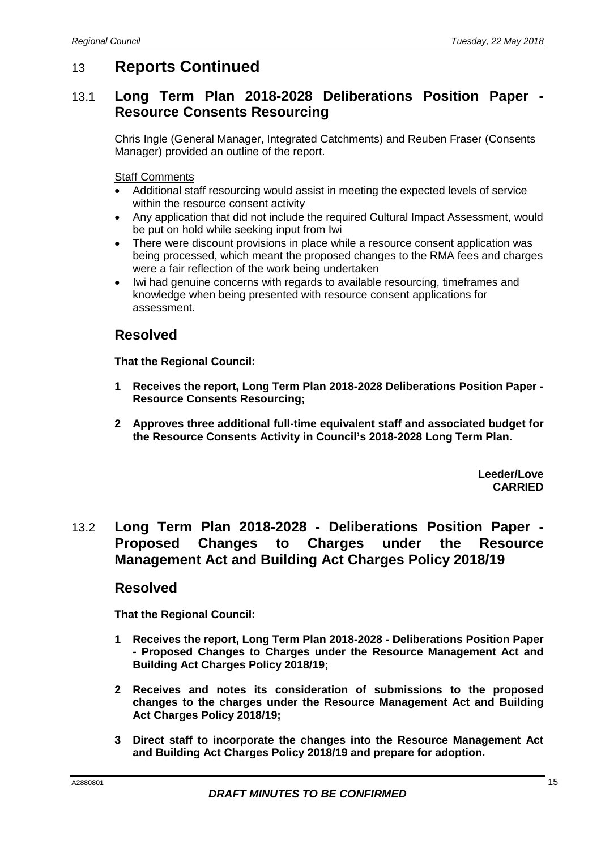## 13 **Reports Continued**

### 13.1 **Long Term Plan 2018-2028 Deliberations Position Paper - Resource Consents Resourcing**

Chris Ingle (General Manager, Integrated Catchments) and Reuben Fraser (Consents Manager) provided an outline of the report.

Staff Comments

- Additional staff resourcing would assist in meeting the expected levels of service within the resource consent activity
- Any application that did not include the required Cultural Impact Assessment, would be put on hold while seeking input from Iwi
- There were discount provisions in place while a resource consent application was being processed, which meant the proposed changes to the RMA fees and charges were a fair reflection of the work being undertaken
- Iwi had genuine concerns with regards to available resourcing, timeframes and knowledge when being presented with resource consent applications for assessment.

### **Resolved**

**That the Regional Council:**

- **1 Receives the report, Long Term Plan 2018-2028 Deliberations Position Paper - Resource Consents Resourcing;**
- **2 Approves three additional full-time equivalent staff and associated budget for the Resource Consents Activity in Council's 2018-2028 Long Term Plan.**

**Leeder/Love CARRIED**

### 13.2 **Long Term Plan 2018-2028 - Deliberations Position Paper - Proposed Changes to Charges under the Resource Management Act and Building Act Charges Policy 2018/19**

#### **Resolved**

- **1 Receives the report, Long Term Plan 2018-2028 - Deliberations Position Paper - Proposed Changes to Charges under the Resource Management Act and Building Act Charges Policy 2018/19;**
- **2 Receives and notes its consideration of submissions to the proposed changes to the charges under the Resource Management Act and Building Act Charges Policy 2018/19;**
- **3 Direct staff to incorporate the changes into the Resource Management Act and Building Act Charges Policy 2018/19 and prepare for adoption.**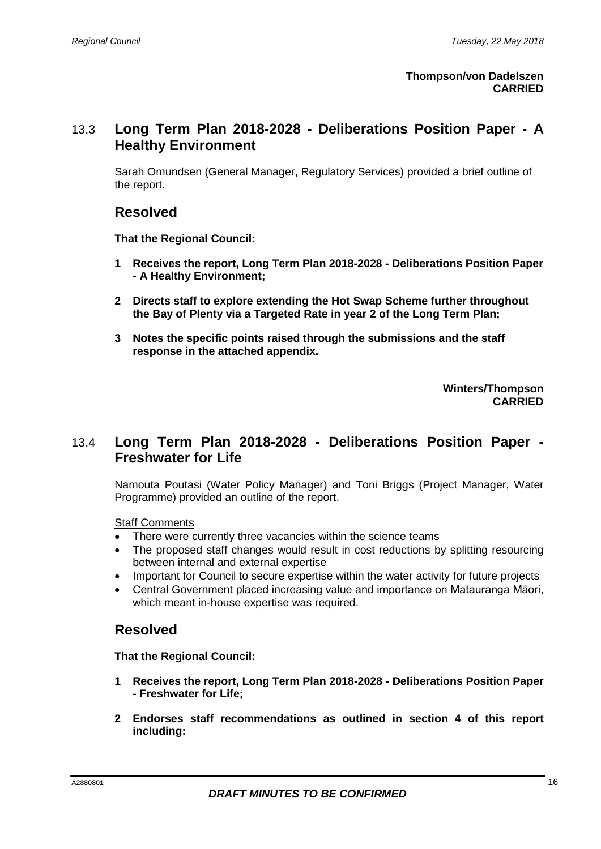### 13.3 **Long Term Plan 2018-2028 - Deliberations Position Paper - A Healthy Environment**

Sarah Omundsen (General Manager, Regulatory Services) provided a brief outline of the report.

### **Resolved**

**That the Regional Council:**

- **1 Receives the report, Long Term Plan 2018-2028 - Deliberations Position Paper - A Healthy Environment;**
- **2 Directs staff to explore extending the Hot Swap Scheme further throughout the Bay of Plenty via a Targeted Rate in year 2 of the Long Term Plan;**
- **3 Notes the specific points raised through the submissions and the staff response in the attached appendix.**

**Winters/Thompson CARRIED**

### 13.4 **Long Term Plan 2018-2028 - Deliberations Position Paper - Freshwater for Life**

Namouta Poutasi (Water Policy Manager) and Toni Briggs (Project Manager, Water Programme) provided an outline of the report.

#### Staff Comments

- There were currently three vacancies within the science teams
- The proposed staff changes would result in cost reductions by splitting resourcing between internal and external expertise
- Important for Council to secure expertise within the water activity for future projects
- Central Government placed increasing value and importance on Matauranga Māori, which meant in-house expertise was required.

### **Resolved**

- **1 Receives the report, Long Term Plan 2018-2028 - Deliberations Position Paper - Freshwater for Life;**
- **2 Endorses staff recommendations as outlined in section 4 of this report including:**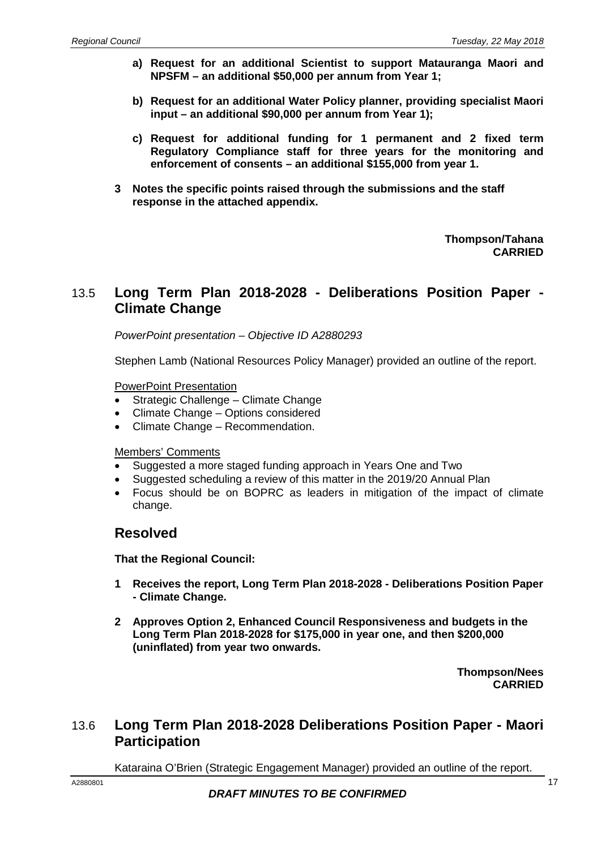- **a) Request for an additional Scientist to support Matauranga Maori and NPSFM – an additional \$50,000 per annum from Year 1;**
- **b) Request for an additional Water Policy planner, providing specialist Maori input – an additional \$90,000 per annum from Year 1);**
- **c) Request for additional funding for 1 permanent and 2 fixed term Regulatory Compliance staff for three years for the monitoring and enforcement of consents – an additional \$155,000 from year 1.**
- **3 Notes the specific points raised through the submissions and the staff response in the attached appendix.**

**Thompson/Tahana CARRIED**

### 13.5 **Long Term Plan 2018-2028 - Deliberations Position Paper - Climate Change**

*PowerPoint presentation – Objective ID A2880293*

Stephen Lamb (National Resources Policy Manager) provided an outline of the report.

#### PowerPoint Presentation

- Strategic Challenge Climate Change
- Climate Change Options considered
- Climate Change Recommendation.

#### Members' Comments

- Suggested a more staged funding approach in Years One and Two
- Suggested scheduling a review of this matter in the 2019/20 Annual Plan
- Focus should be on BOPRC as leaders in mitigation of the impact of climate change.

#### **Resolved**

**That the Regional Council:**

- **1 Receives the report, Long Term Plan 2018-2028 - Deliberations Position Paper - Climate Change.**
- **2 Approves Option 2, Enhanced Council Responsiveness and budgets in the Long Term Plan 2018-2028 for \$175,000 in year one, and then \$200,000 (uninflated) from year two onwards.**

**Thompson/Nees CARRIED**

### 13.6 **Long Term Plan 2018-2028 Deliberations Position Paper - Maori Participation**

Kataraina O'Brien (Strategic Engagement Manager) provided an outline of the report.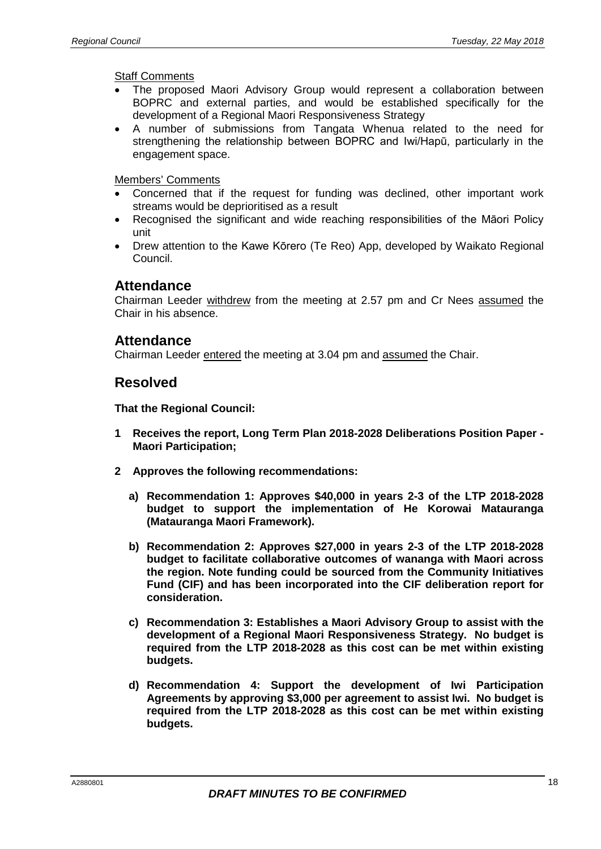Staff Comments

- The proposed Maori Advisory Group would represent a collaboration between BOPRC and external parties, and would be established specifically for the development of a Regional Maori Responsiveness Strategy
- A number of submissions from Tangata Whenua related to the need for strengthening the relationship between BOPRC and Iwi/Hapū, particularly in the engagement space.

Members' Comments

- Concerned that if the request for funding was declined, other important work streams would be deprioritised as a result
- Recognised the significant and wide reaching responsibilities of the Māori Policy unit
- Drew attention to the Kawe Kōrero (Te Reo) App, developed by Waikato Regional Council.

#### **Attendance**

Chairman Leeder withdrew from the meeting at 2.57 pm and Cr Nees assumed the Chair in his absence.

#### **Attendance**

Chairman Leeder entered the meeting at 3.04 pm and assumed the Chair.

#### **Resolved**

- **1 Receives the report, Long Term Plan 2018-2028 Deliberations Position Paper - Maori Participation;**
- **2 Approves the following recommendations:**
	- **a) Recommendation 1: Approves \$40,000 in years 2-3 of the LTP 2018-2028 budget to support the implementation of He Korowai Matauranga (Matauranga Maori Framework).**
	- **b) Recommendation 2: Approves \$27,000 in years 2-3 of the LTP 2018-2028 budget to facilitate collaborative outcomes of wananga with Maori across the region. Note funding could be sourced from the Community Initiatives Fund (CIF) and has been incorporated into the CIF deliberation report for consideration.**
	- **c) Recommendation 3: Establishes a Maori Advisory Group to assist with the development of a Regional Maori Responsiveness Strategy. No budget is required from the LTP 2018-2028 as this cost can be met within existing budgets.**
	- **d) Recommendation 4: Support the development of Iwi Participation Agreements by approving \$3,000 per agreement to assist Iwi. No budget is required from the LTP 2018-2028 as this cost can be met within existing budgets.**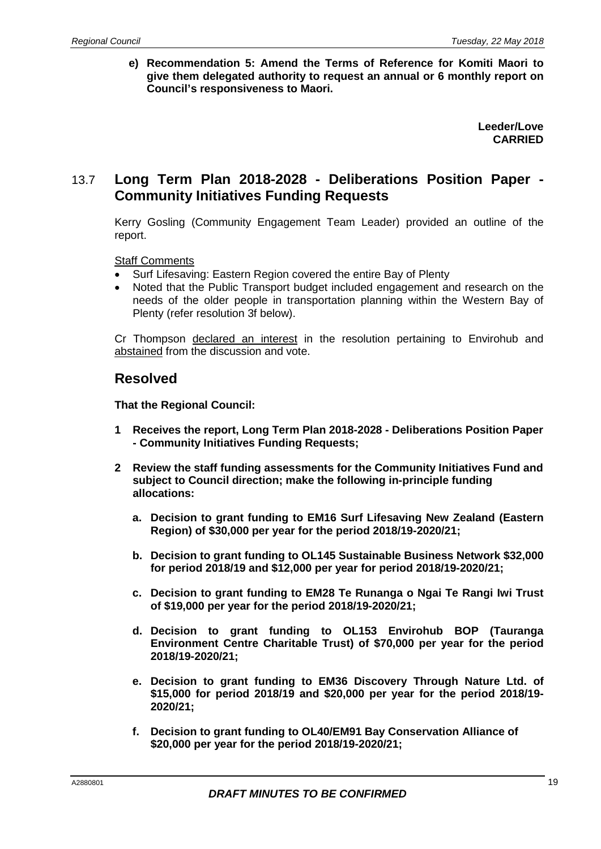**e) Recommendation 5: Amend the Terms of Reference for Komiti Maori to give them delegated authority to request an annual or 6 monthly report on Council's responsiveness to Maori.** 

> **Leeder/Love CARRIED**

### 13.7 **Long Term Plan 2018-2028 - Deliberations Position Paper - Community Initiatives Funding Requests**

Kerry Gosling (Community Engagement Team Leader) provided an outline of the report.

Staff Comments

- Surf Lifesaving: Eastern Region covered the entire Bay of Plenty
- Noted that the Public Transport budget included engagement and research on the needs of the older people in transportation planning within the Western Bay of Plenty (refer resolution 3f below).

Cr Thompson declared an interest in the resolution pertaining to Envirohub and abstained from the discussion and vote.

#### **Resolved**

- **1 Receives the report, Long Term Plan 2018-2028 - Deliberations Position Paper - Community Initiatives Funding Requests;**
- **2 Review the staff funding assessments for the Community Initiatives Fund and subject to Council direction; make the following in-principle funding allocations:**
	- **a. Decision to grant funding to EM16 Surf Lifesaving New Zealand (Eastern Region) of \$30,000 per year for the period 2018/19-2020/21;**
	- **b. Decision to grant funding to OL145 Sustainable Business Network \$32,000 for period 2018/19 and \$12,000 per year for period 2018/19-2020/21;**
	- **c. Decision to grant funding to EM28 Te Runanga o Ngai Te Rangi Iwi Trust of \$19,000 per year for the period 2018/19-2020/21;**
	- **d. Decision to grant funding to OL153 Envirohub BOP (Tauranga Environment Centre Charitable Trust) of \$70,000 per year for the period 2018/19-2020/21;**
	- **e. Decision to grant funding to EM36 Discovery Through Nature Ltd. of \$15,000 for period 2018/19 and \$20,000 per year for the period 2018/19- 2020/21;**
	- **f. Decision to grant funding to OL40/EM91 Bay Conservation Alliance of \$20,000 per year for the period 2018/19-2020/21;**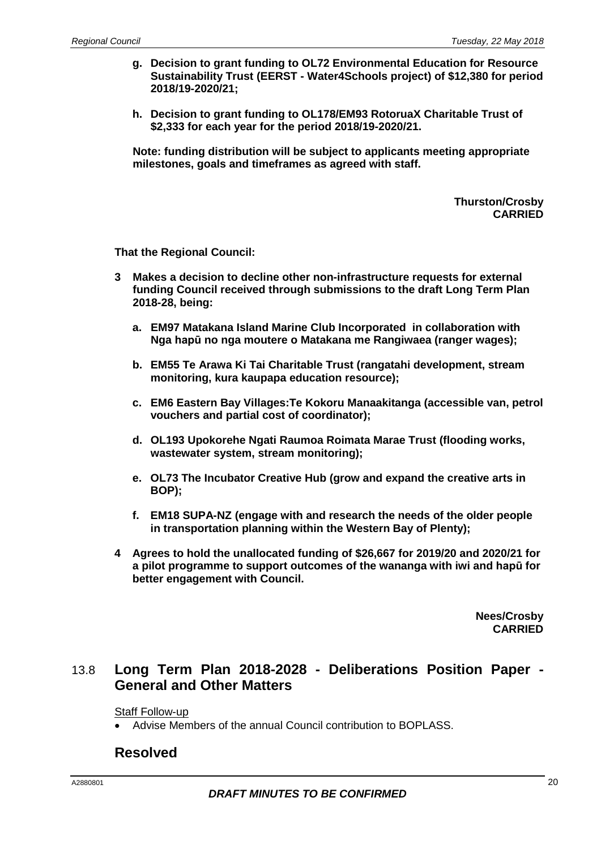- **g. Decision to grant funding to OL72 Environmental Education for Resource Sustainability Trust (EERST - Water4Schools project) of \$12,380 for period 2018/19-2020/21;**
- **h. Decision to grant funding to OL178/EM93 RotoruaX Charitable Trust of \$2,333 for each year for the period 2018/19-2020/21.**

**Note: funding distribution will be subject to applicants meeting appropriate milestones, goals and timeframes as agreed with staff.** 

> **Thurston/Crosby CARRIED**

**That the Regional Council:**

- **3 Makes a decision to decline other non-infrastructure requests for external funding Council received through submissions to the draft Long Term Plan 2018-28, being:**
	- **a. EM97 Matakana Island Marine Club Incorporated in collaboration with Nga hapū no nga moutere o Matakana me Rangiwaea (ranger wages);**
	- **b. EM55 Te Arawa Ki Tai Charitable Trust (rangatahi development, stream monitoring, kura kaupapa education resource);**
	- **c. EM6 Eastern Bay Villages:Te Kokoru Manaakitanga (accessible van, petrol vouchers and partial cost of coordinator);**
	- **d. OL193 Upokorehe Ngati Raumoa Roimata Marae Trust (flooding works, wastewater system, stream monitoring);**
	- **e. OL73 The Incubator Creative Hub (grow and expand the creative arts in BOP);**
	- **f. EM18 SUPA-NZ (engage with and research the needs of the older people in transportation planning within the Western Bay of Plenty);**
- **4 Agrees to hold the unallocated funding of \$26,667 for 2019/20 and 2020/21 for a pilot programme to support outcomes of the wananga with iwi and hapū for better engagement with Council.**

**Nees/Crosby CARRIED**

### 13.8 **Long Term Plan 2018-2028 - Deliberations Position Paper - General and Other Matters**

Staff Follow-up

• Advise Members of the annual Council contribution to BOPLASS.

#### **Resolved**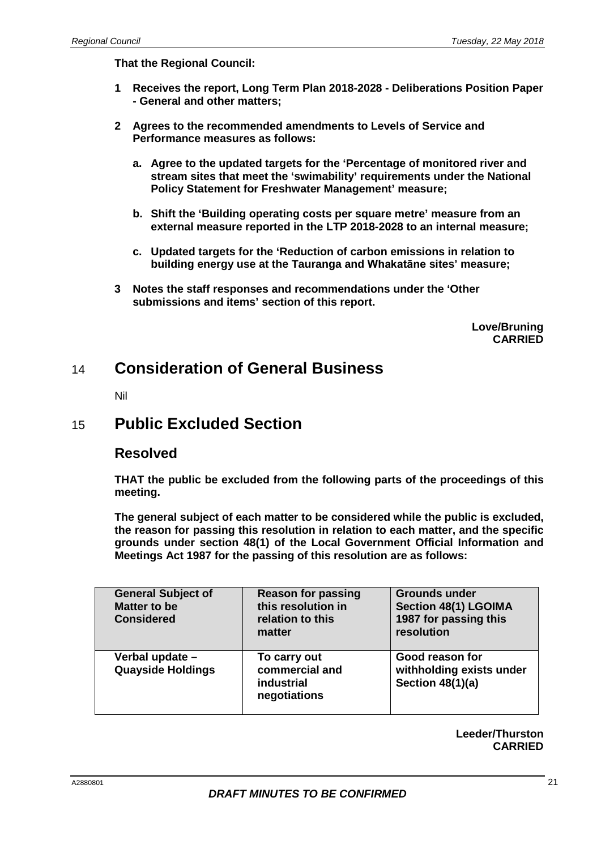**That the Regional Council:**

- **1 Receives the report, Long Term Plan 2018-2028 - Deliberations Position Paper - General and other matters;**
- **2 Agrees to the recommended amendments to Levels of Service and Performance measures as follows:**
	- **a. Agree to the updated targets for the 'Percentage of monitored river and stream sites that meet the 'swimability' requirements under the National Policy Statement for Freshwater Management' measure;**
	- **b. Shift the 'Building operating costs per square metre' measure from an external measure reported in the LTP 2018-2028 to an internal measure;**
	- **c. Updated targets for the 'Reduction of carbon emissions in relation to building energy use at the Tauranga and Whakatāne sites' measure;**
- **3 Notes the staff responses and recommendations under the 'Other submissions and items' section of this report.**

**Love/Bruning CARRIED**

## 14 **Consideration of General Business**

Nil

## 15 **Public Excluded Section**

#### **Resolved**

**THAT the public be excluded from the following parts of the proceedings of this meeting.**

**The general subject of each matter to be considered while the public is excluded, the reason for passing this resolution in relation to each matter, and the specific grounds under section 48(1) of the Local Government Official Information and Meetings Act 1987 for the passing of this resolution are as follows:**

| <b>General Subject of</b><br><b>Matter to be</b><br><b>Considered</b> | <b>Reason for passing</b><br>this resolution in<br>relation to this<br>matter | <b>Grounds under</b><br><b>Section 48(1) LGOIMA</b><br>1987 for passing this<br>resolution |
|-----------------------------------------------------------------------|-------------------------------------------------------------------------------|--------------------------------------------------------------------------------------------|
| Verbal update -<br><b>Quayside Holdings</b>                           | To carry out<br>commercial and<br>industrial<br>negotiations                  | Good reason for<br>withholding exists under<br><b>Section 48(1)(a)</b>                     |

**Leeder/Thurston CARRIED**

| 21 |
|----|
|    |